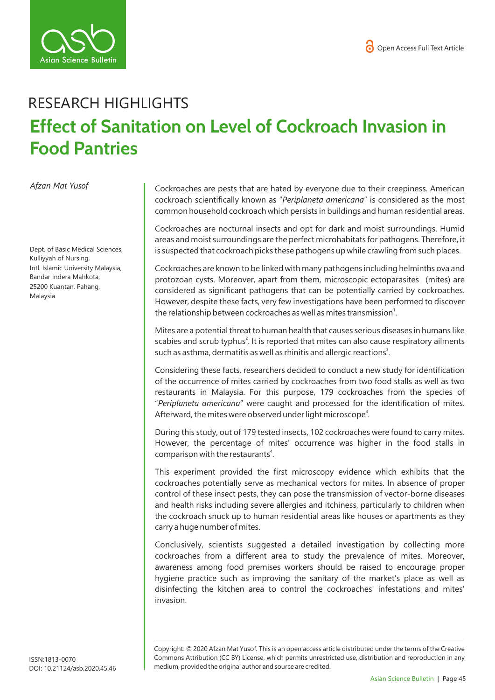

## RESEARCH HIGHLIGHTS **Effect of Sanitation on Level of Cockroach Invasion in Food Pantries**

*Afzan Mat Yusof* 

Dept. of Basic Medical Sciences, Kulliyyah of Nursing, Intl. Islamic University Malaysia, Bandar Indera Mahkota, 25200 Kuantan, Pahang, Malaysia

Cockroaches are pests that are hated by everyone due to their creepiness. American cockroach scientifically known as "*Periplaneta americana*" is considered as the most common household cockroach which persists in buildings and human residential areas.

Cockroaches are nocturnal insects and opt for dark and moist surroundings. Humid areas and moist surroundings are the perfect microhabitats for pathogens. Therefore, it is suspected that cockroach picks these pathogens up while crawling from such places.

Cockroaches are known to be linked with many pathogens including helminths ova and protozoan cysts. Moreover, apart from them, microscopic ectoparasites (mites) are considered as significant pathogens that can be potentially carried by cockroaches. However, despite these facts, very few investigations have been performed to discover the relationship between cockroaches as well as mites transmission $^1$ .

Mites are a potential threat to human health that causes serious diseases in humans like scabies and scrub typhus<sup>2</sup>. It is reported that mites can also cause respiratory ailments such as asthma, dermatitis as well as rhinitis and allergic reactions<sup>3</sup>.

Considering these facts, researchers decided to conduct a new study for identification of the occurrence of mites carried by cockroaches from two food stalls as well as two restaurants in Malaysia. For this purpose, 179 cockroaches from the species of "*Periplaneta americana*" were caught and processed for the identification of mites. Afterward, the mites were observed under light microscope<sup>4</sup>.

During this study, out of 179 tested insects, 102 cockroaches were found to carry mites. However, the percentage of mites' occurrence was higher in the food stalls in comparison with the restaurants<sup>4</sup>.

This experiment provided the first microscopy evidence which exhibits that the cockroaches potentially serve as mechanical vectors for mites. In absence of proper control of these insect pests, they can pose the transmission of vector-borne diseases and health risks including severe allergies and itchiness, particularly to children when the cockroach snuck up to human residential areas like houses or apartments as they carry a huge number of mites.

Conclusively, scientists suggested a detailed investigation by collecting more cockroaches from a different area to study the prevalence of mites. Moreover, awareness among food premises workers should be raised to encourage proper hygiene practice such as improving the sanitary of the market's place as well as disinfecting the kitchen area to control the cockroaches' infestations and mites' invasion.

Copyright: © 2020 Afzan Mat Yusof*.* This is an open access article distributed under the terms of the Creative Commons Attribution (CC BY) License, which permits unrestricted use, distribution and reproduction in any medium, provided the original author and source are credited.